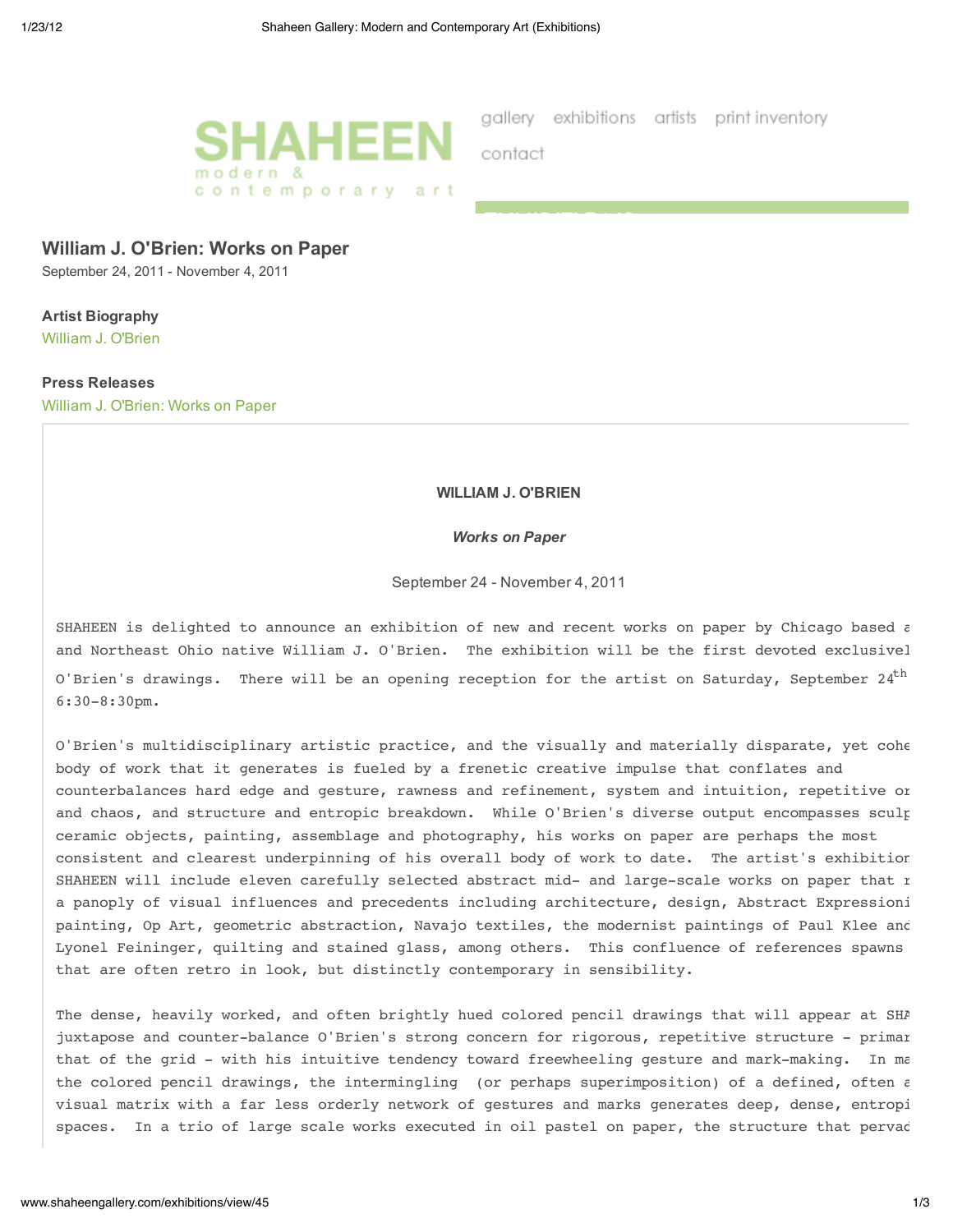

gallery exhibitions artists print-inventory

contact

## **William J. O'Brien: Works on Paper**

September 24, 2011 - November 4, 2011

# **Artist Biography**

William J. O'Brien

#### **Press Releases**

William J. O'Brien: Works on Paper

#### **WILLIAM J. O'BRIEN**

#### *Works on Paper*

September 24 - November 4, 2011

SHAHEEN is delighted to announce an exhibition of new and recent works on paper by Chicago based  $\varepsilon$ and Northeast Ohio native William J. O'Brien. The exhibition will be the first devoted exclusivel O'Brien's drawings. There will be an opening reception for the artist on Saturday, September 24<sup>th</sup> 6:30-8:30pm.

O'Brien's multidisciplinary artistic practice, and the visually and materially disparate, yet cohe body of work that it generates is fueled by a frenetic creative impulse that conflates and counterbalances hard edge and gesture, rawness and refinement, system and intuition, repetitive or and chaos, and structure and entropic breakdown. While O'Brien's diverse output encompasses sculp ceramic objects, painting, assemblage and photography, his works on paper are perhaps the most consistent and clearest underpinning of his overall body of work to date. The artist's exhibition SHAHEEN will include eleven carefully selected abstract mid- and large-scale works on paper that r a panoply of visual influences and precedents including architecture, design, Abstract Expressioni painting, Op Art, geometric abstraction, Navajo textiles, the modernist paintings of Paul Klee and Lyonel Feininger, quilting and stained glass, among others. This confluence of references spawns that are often retro in look, but distinctly contemporary in sensibility.

The dense, heavily worked, and often brightly hued colored pencil drawings that will appear at SHA juxtapose and counter-balance O'Brien's strong concern for rigorous, repetitive structure - primar that of the grid - with his intuitive tendency toward freewheeling gesture and mark-making. In ma the colored pencil drawings, the intermingling (or perhaps superimposition) of a defined, often  $\varepsilon$ visual matrix with a far less orderly network of gestures and marks generates deep, dense, entropi spaces. In a trio of large scale works executed in oil pastel on paper, the structure that pervad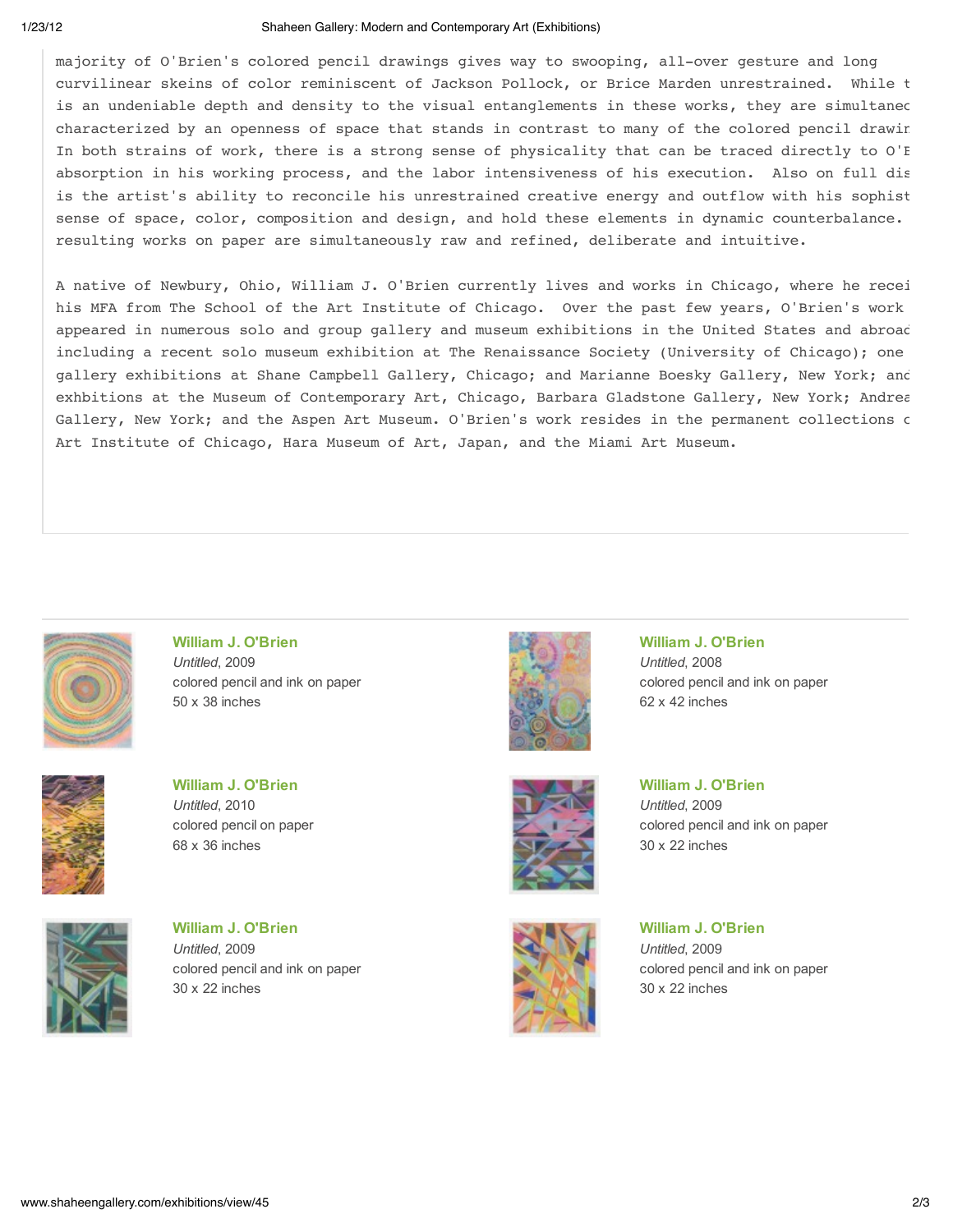#### 1/23/12 Shaheen Gallery: Modern and Contemporary Art (Exhibitions)

majority of O'Brien's colored pencil drawings gives way to swooping, all-over gesture and long curvilinear skeins of color reminiscent of Jackson Pollock, or Brice Marden unrestrained. While t is an undeniable depth and density to the visual entanglements in these works, they are simultaned characterized by an openness of space that stands in contrast to many of the colored pencil drawin In both strains of work, there is a strong sense of physicality that can be traced directly to O'E absorption in his working process, and the labor intensiveness of his execution. Also on full dis is the artist's ability to reconcile his unrestrained creative energy and outflow with his sophist sense of space, color, composition and design, and hold these elements in dynamic counterbalance. resulting works on paper are simultaneously raw and refined, deliberate and intuitive.

A native of Newbury, Ohio, William J. O'Brien currently lives and works in Chicago, where he recei his MFA from The School of the Art Institute of Chicago. Over the past few years, O'Brien's work appeared in numerous solo and group gallery and museum exhibitions in the United States and abroad including a recent solo museum exhibition at The Renaissance Society (University of Chicago); one gallery exhibitions at Shane Campbell Gallery, Chicago; and Marianne Boesky Gallery, New York; and exhbitions at the Museum of Contemporary Art, Chicago, Barbara Gladstone Gallery, New York; Andrea Gallery, New York; and the Aspen Art Museum. O'Brien's work resides in the permanent collections of Art Institute of Chicago, Hara Museum of Art, Japan, and the Miami Art Museum.



**William J. O'Brien** *Untitled*, 2009 colored pencil and ink on paper 50 x 38 inches



**William J. O'Brien** *Untitled*, 2010 colored pencil on paper 68 x 36 inches



**William J. O'Brien** *Untitled*, 2009 colored pencil and ink on paper 30 x 22 inches



**William J. O'Brien** *Untitled*, 2008 colored pencil and ink on paper 62 x 42 inches



*Untitled*, 2009 colored pencil and ink on paper 30 x 22 inches

**William J. O'Brien**

**William J. O'Brien** *Untitled*, 2009 colored pencil and ink on paper 30 x 22 inches